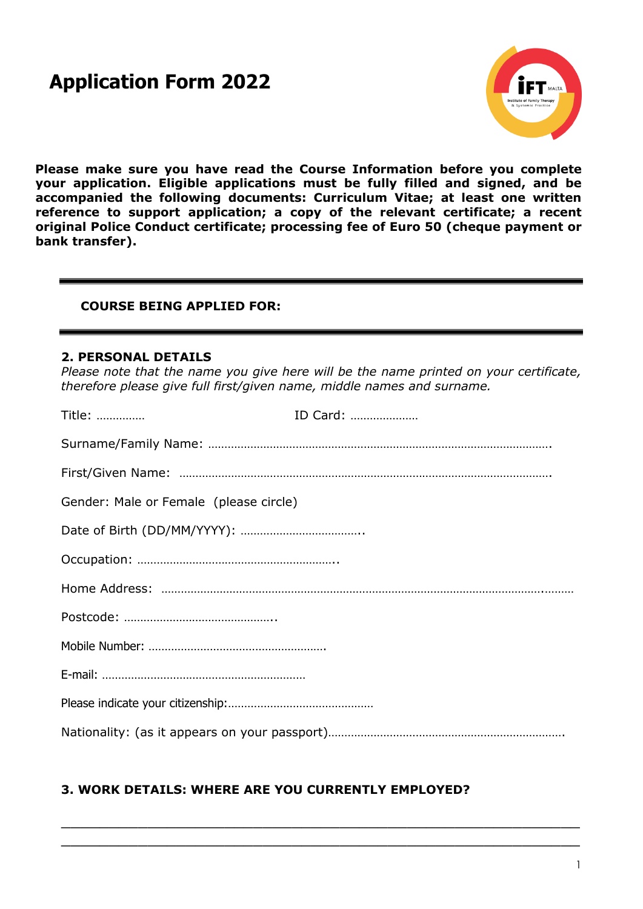# **Application Form 2022**



**Please make sure you have read the Course Information before you complete your application. Eligible applications must be fully filled and signed, and be accompanied the following documents: Curriculum Vitae; at least one written reference to support application; a copy of the relevant certificate; a recent original Police Conduct certificate; processing fee of Euro 50 (cheque payment or bank transfer).**

#### **COURSE BEING APPLIED FOR:**

#### **2. PERSONAL DETAILS**

*Please note that the name you give here will be the name printed on your certificate, therefore please give full first/given name, middle names and surname.*

| Title:                                 | ID Card: |
|----------------------------------------|----------|
|                                        |          |
|                                        |          |
| Gender: Male or Female (please circle) |          |
|                                        |          |
|                                        |          |
|                                        |          |
|                                        |          |
|                                        |          |
|                                        |          |
|                                        |          |
|                                        |          |

 $\_$  , and the set of the set of the set of the set of the set of the set of the set of the set of the set of the set of the set of the set of the set of the set of the set of the set of the set of the set of the set of th  $\_$  , and the set of the set of the set of the set of the set of the set of the set of the set of the set of the set of the set of the set of the set of the set of the set of the set of the set of the set of the set of th

## **3. WORK DETAILS: WHERE ARE YOU CURRENTLY EMPLOYED?**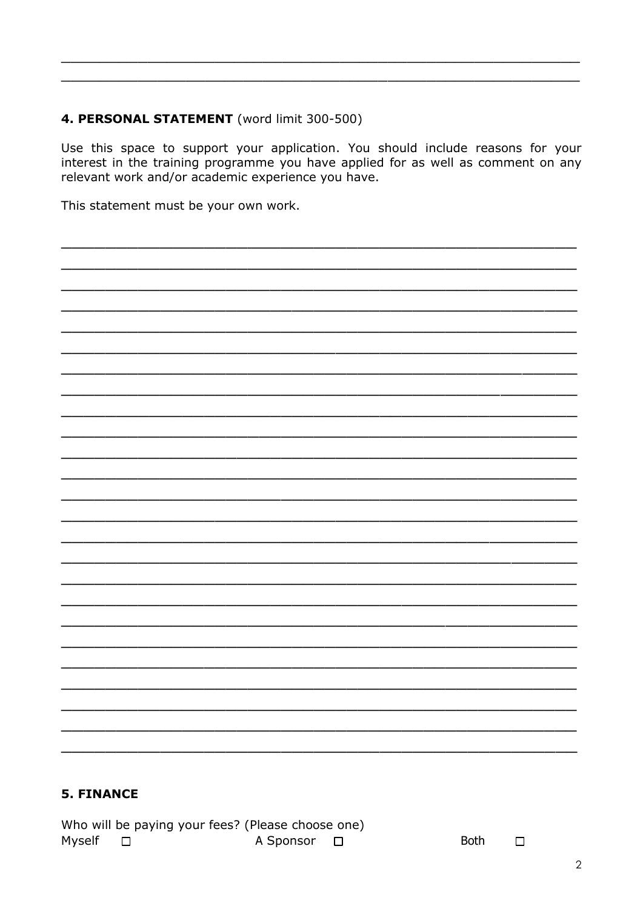# 4. PERSONAL STATEMENT (word limit 300-500)

Use this space to support your application. You should include reasons for your interest in the training programme you have applied for as well as comment on any relevant work and/or academic experience you have.

This statement must be your own work.

## **5. FINANCE**

Who will be paying your fees? (Please choose one) Myself □ A Sponsor □

Both  $\Box$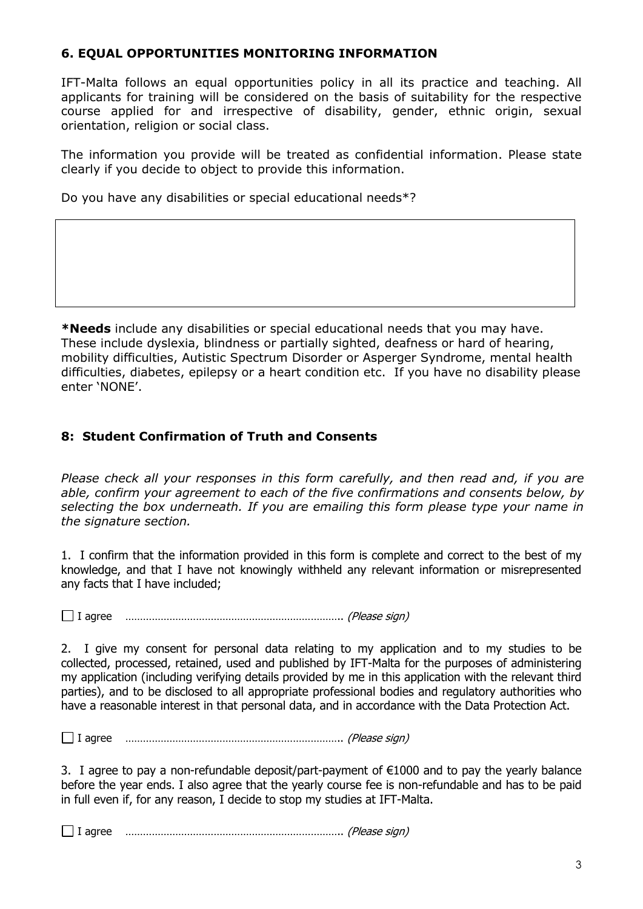## **6. EQUAL OPPORTUNITIES MONITORING INFORMATION**

IFT-Malta follows an equal opportunities policy in all its practice and teaching. All applicants for training will be considered on the basis of suitability for the respective course applied for and irrespective of disability, gender, ethnic origin, sexual orientation, religion or social class.

The information you provide will be treated as confidential information. Please state clearly if you decide to object to provide this information.

Do you have any disabilities or special educational needs\*?

**\*Needs** include any disabilities or special educational needs that you may have. These include dyslexia, blindness or partially sighted, deafness or hard of hearing, mobility difficulties, Autistic Spectrum Disorder or Asperger Syndrome, mental health difficulties, diabetes, epilepsy or a heart condition etc. If you have no disability please enter 'NONE'.

# **8: Student Confirmation of Truth and Consents**

*Please check all your responses in this form carefully, and then read and, if you are able, confirm your agreement to each of the five confirmations and consents below, by selecting the box underneath. If you are emailing this form please type your name in the signature section.*

1. I confirm that the information provided in this form is complete and correct to the best of my knowledge, and that I have not knowingly withheld any relevant information or misrepresented any facts that I have included;

I agree ……………………………………………………………….. (Please sign)

2. I give my consent for personal data relating to my application and to my studies to be collected, processed, retained, used and published by IFT-Malta for the purposes of administering my application (including verifying details provided by me in this application with the relevant third parties), and to be disclosed to all appropriate professional bodies and regulatory authorities who have a reasonable interest in that personal data, and in accordance with the Data Protection Act.

I agree ……………………………………………………………….. (Please sign)

3. I agree to pay a non-refundable deposit/part-payment of €1000 and to pay the yearly balance before the year ends. I also agree that the yearly course fee is non-refundable and has to be paid in full even if, for any reason, I decide to stop my studies at IFT-Malta.

I agree ……………………………………………………………….. (Please sign)